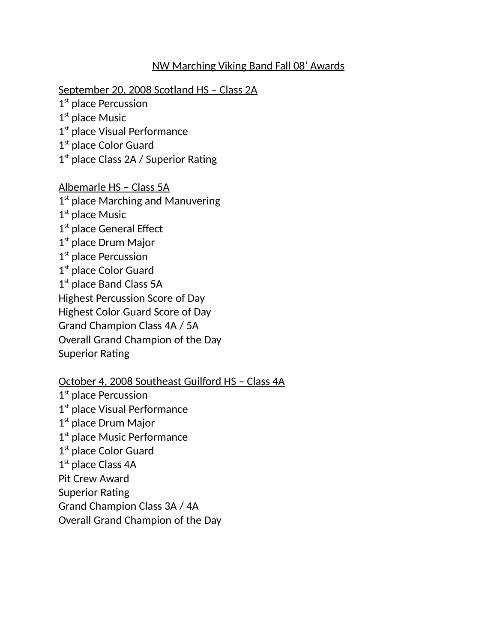## NW Marching Viking Band Fall 08' Awards

September 20, 2008 Scotland HS – Class 2A

1<sup>st</sup> place Percussion

1<sup>st</sup> place Music

1st place Visual Performance

1<sup>st</sup> place Color Guard

1<sup>st</sup> place Class 2A / Superior Rating

Albemarle HS – Class 5A 1<sup>st</sup> place Marching and Manuvering 1<sup>st</sup> place Music 1<sup>st</sup> place General Effect 1<sup>st</sup> place Drum Major 1<sup>st</sup> place Percussion 1<sup>st</sup> place Color Guard 1<sup>st</sup> place Band Class 5A Highest Percussion Score of Day Highest Color Guard Score of Day Grand Champion Class 4A / 5A Overall Grand Champion of the Day Superior Rating

October 4, 2008 Southeast Guilford HS – Class 4A

1<sup>st</sup> place Percussion 1st place Visual Performance 1<sup>st</sup> place Drum Major 1st place Music Performance 1<sup>st</sup> place Color Guard 1<sup>st</sup> place Class 4A Pit Crew Award Superior Rating Grand Champion Class 3A / 4A Overall Grand Champion of the Day